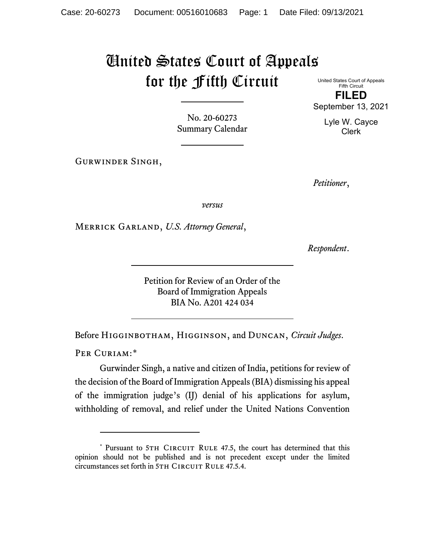## United States Court of Appeals for the Fifth Circuit

United States Court of Appeals Fifth Circuit **FILED** September 13, 2021

> Lyle W. Cayce Clerk

No. 20-60273 Summary Calendar

Gurwinder Singh,

*Petitioner*,

*versus*

Merrick Garland, *U.S. Attorney General*,

*Respondent*.

Petition for Review of an Order of the Board of Immigration Appeals BIA No. A201 424 034

Before Higginbotham, Higginson, and Duncan, *Circuit Judges*.

PER CURIAM:[\\*](#page-0-0)

Gurwinder Singh, a native and citizen of India, petitions for review of the decision of the Board of Immigration Appeals (BIA) dismissing his appeal of the immigration judge's (IJ) denial of his applications for asylum, withholding of removal, and relief under the United Nations Convention

<span id="page-0-0"></span><sup>\*</sup> Pursuant to 5TH CIRCUIT RULE 47.5, the court has determined that this opinion should not be published and is not precedent except under the limited circumstances set forth in 5TH CIRCUIT RULE 47.5.4.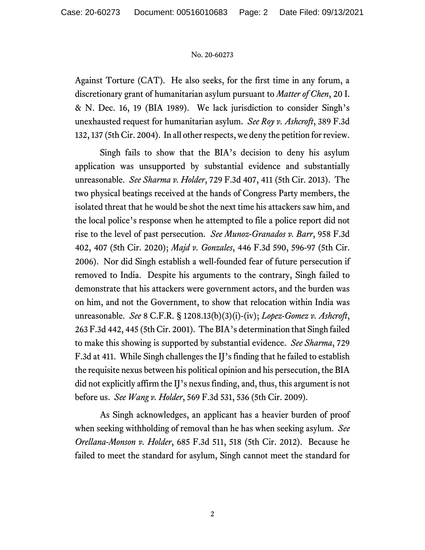## No. 20-60273

Against Torture (CAT). He also seeks, for the first time in any forum, a discretionary grant of humanitarian asylum pursuant to *Matter of Chen*, 20 I. & N. Dec. 16, 19 (BIA 1989). We lack jurisdiction to consider Singh's unexhausted request for humanitarian asylum. *See Roy v. Ashcroft*, 389 F.3d 132, 137 (5th Cir. 2004). In all other respects, we deny the petition for review.

Singh fails to show that the BIA's decision to deny his asylum application was unsupported by substantial evidence and substantially unreasonable. *See Sharma v. Holder*, 729 F.3d 407, 411 (5th Cir. 2013). The two physical beatings received at the hands of Congress Party members, the isolated threat that he would be shot the next time his attackers saw him, and the local police's response when he attempted to file a police report did not rise to the level of past persecution. *See Munoz-Granados v. Barr*, 958 F.3d 402, 407 (5th Cir. 2020); *Majd v. Gonzales*, 446 F.3d 590, 596-97 (5th Cir. 2006). Nor did Singh establish a well-founded fear of future persecution if removed to India. Despite his arguments to the contrary, Singh failed to demonstrate that his attackers were government actors, and the burden was on him, and not the Government, to show that relocation within India was unreasonable. *See* 8 C.F.R. § 1208.13(b)(3)(i)-(iv); *Lopez-Gomez v. Ashcroft*, 263 F.3d 442, 445 (5th Cir. 2001). The BIA's determination that Singh failed to make this showing is supported by substantial evidence. *See Sharma*, 729 F.3d at 411. While Singh challenges the IJ's finding that he failed to establish the requisite nexus between his political opinion and his persecution, the BIA did not explicitly affirm the IJ's nexus finding, and, thus, this argument is not before us. *See Wang v. Holder*, 569 F.3d 531, 536 (5th Cir. 2009).

As Singh acknowledges, an applicant has a heavier burden of proof when seeking withholding of removal than he has when seeking asylum. *See Orellana-Monson v. Holder*, 685 F.3d 511, 518 (5th Cir. 2012). Because he failed to meet the standard for asylum, Singh cannot meet the standard for